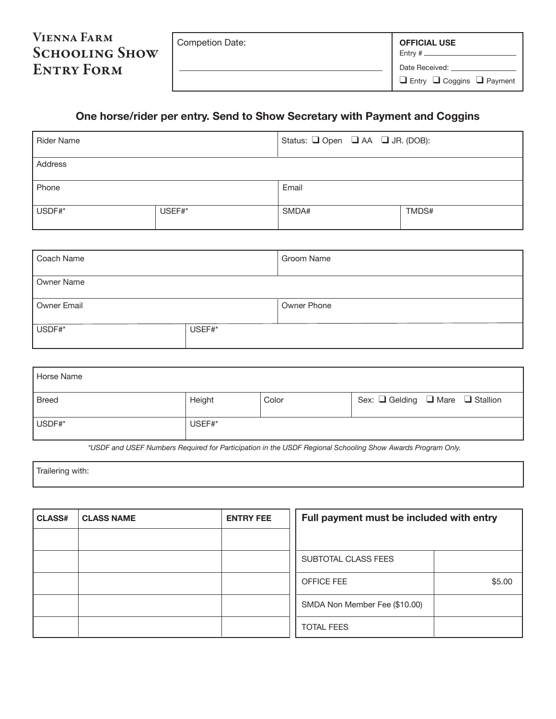| <b>VIENNA FARM</b>    | Competion Date: | <b>OFFICIAL USE</b>                        |
|-----------------------|-----------------|--------------------------------------------|
| <b>SCHOOLING SHOW</b> |                 | Entry $\#$ $\_\_$                          |
| <b>ENTRY FORM</b>     |                 | Date Received:                             |
|                       |                 | $\Box$ Entry $\Box$ Coggins $\Box$ Payment |

## **One horse/rider per entry. Send to Show Secretary with Payment and Coggins**

| <b>Rider Name</b> |        | Status: $\Box$ Open $\Box$ AA $\Box$ JR. (DOB): |       |
|-------------------|--------|-------------------------------------------------|-------|
| Address           |        |                                                 |       |
| Phone             |        | Email                                           |       |
| USDF#*            | USEF#* | SMDA#                                           | TMDS# |

| Coach Name  |        | Groom Name  |
|-------------|--------|-------------|
| Owner Name  |        |             |
| Owner Email |        | Owner Phone |
| USDF#*      | USEF#* |             |

| Horse Name   |        |       |                                |
|--------------|--------|-------|--------------------------------|
| <b>Breed</b> | Height | Color | Sex: Gelding O Mare G Stallion |
| USDF#*       | USEF#* |       |                                |

*\*USDF and USEF Numbers Required for Participation in the USDF Regional Schooling Show Awards Program Only.* 

Trailering with:

| <b>CLASS#</b> | <b>CLASS NAME</b> | <b>ENTRY FEE</b> | Full payment must be included with entry |        |
|---------------|-------------------|------------------|------------------------------------------|--------|
|               |                   |                  |                                          |        |
|               |                   |                  | SUBTOTAL CLASS FEES                      |        |
|               |                   |                  | OFFICE FEE                               | \$5.00 |
|               |                   |                  | SMDA Non Member Fee (\$10.00)            |        |
|               |                   |                  | <b>TOTAL FEES</b>                        |        |